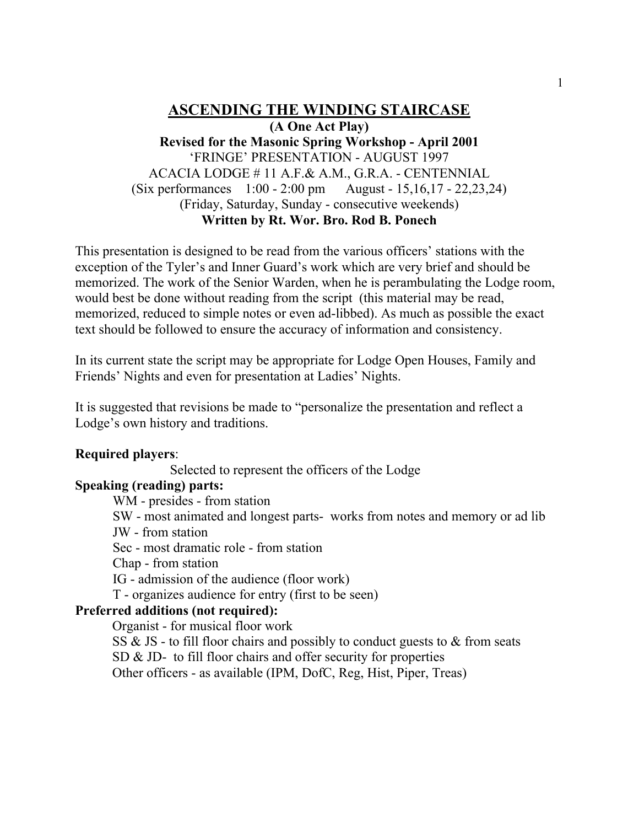# **ASCENDING THE WINDING STAIRCASE (A One Act Play) Revised for the Masonic Spring Workshop - April 2001** 'FRINGE' PRESENTATION - AUGUST 1997 ACACIA LODGE # 11 A.F.& A.M., G.R.A. - CENTENNIAL (Six performances 1:00 - 2:00 pm August - 15,16,17 - 22,23,24) (Friday, Saturday, Sunday - consecutive weekends) **Written by Rt. Wor. Bro. Rod B. Ponech**

This presentation is designed to be read from the various officers' stations with the exception of the Tyler's and Inner Guard's work which are very brief and should be memorized. The work of the Senior Warden, when he is perambulating the Lodge room, would best be done without reading from the script (this material may be read, memorized, reduced to simple notes or even ad-libbed). As much as possible the exact text should be followed to ensure the accuracy of information and consistency.

In its current state the script may be appropriate for Lodge Open Houses, Family and Friends' Nights and even for presentation at Ladies' Nights.

It is suggested that revisions be made to "personalize the presentation and reflect a Lodge's own history and traditions.

# **Required players**:

Selected to represent the officers of the Lodge

# **Speaking (reading) parts:**

WM - presides - from station

SW - most animated and longest parts- works from notes and memory or ad lib JW - from station

Sec - most dramatic role - from station

Chap - from station

IG - admission of the audience (floor work)

T - organizes audience for entry (first to be seen)

# **Preferred additions (not required):**

Organist - for musical floor work

SS  $\&$  JS - to fill floor chairs and possibly to conduct guests to  $\&$  from seats SD & JD- to fill floor chairs and offer security for properties

Other officers - as available (IPM, DofC, Reg, Hist, Piper, Treas)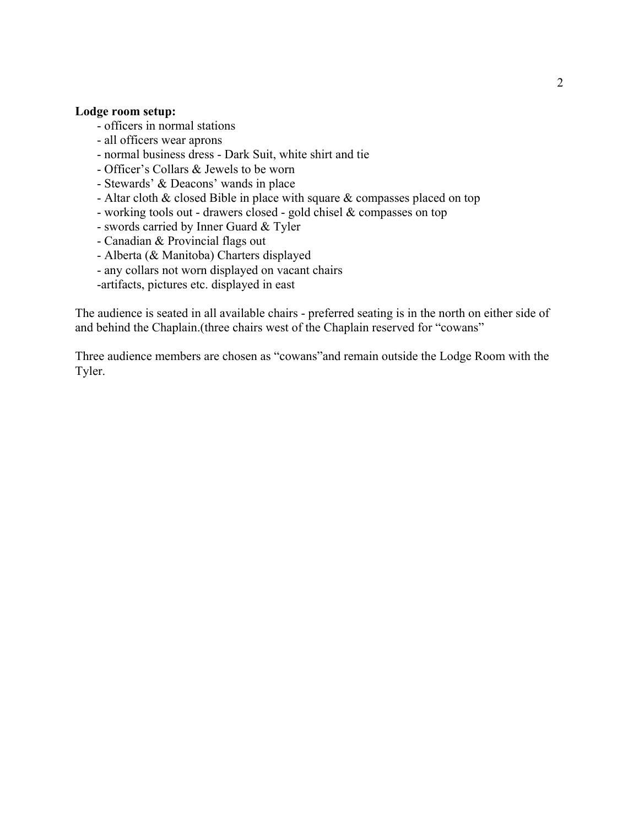#### **Lodge room setup:**

- officers in normal stations
- all officers wear aprons
- normal business dress Dark Suit, white shirt and tie
- Officer's Collars & Jewels to be worn
- Stewards' & Deacons' wands in place
- Altar cloth & closed Bible in place with square & compasses placed on top
- working tools out drawers closed gold chisel & compasses on top
- swords carried by Inner Guard & Tyler
- Canadian & Provincial flags out
- Alberta (& Manitoba) Charters displayed
- any collars not worn displayed on vacant chairs
- -artifacts, pictures etc. displayed in east

The audience is seated in all available chairs - preferred seating is in the north on either side of and behind the Chaplain.(three chairs west of the Chaplain reserved for "cowans"

Three audience members are chosen as "cowans"and remain outside the Lodge Room with the Tyler.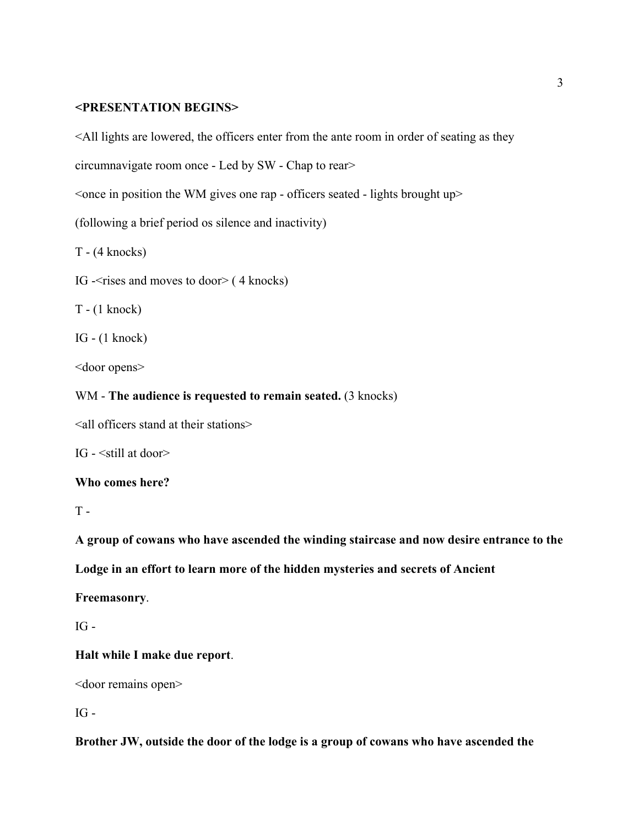#### **<PRESENTATION BEGINS>**

<All lights are lowered, the officers enter from the ante room in order of seating as they

circumnavigate room once - Led by SW - Chap to rear>

 $\leq$  once in position the WM gives one rap - officers seated - lights brought up $\geq$ 

(following a brief period os silence and inactivity)

T - (4 knocks)

IG -<rises and moves to door> ( 4 knocks)

T - (1 knock)

IG - (1 knock)

<door opens>

### WM - **The audience is requested to remain seated.** (3 knocks)

<all officers stand at their stations>

IG - <still at door>

#### **Who comes here?**

 $T -$ 

**A group of cowans who have ascended the winding staircase and now desire entrance to the**

**Lodge in an effort to learn more of the hidden mysteries and secrets of Ancient**

**Freemasonry**.

 $IG -$ 

#### **Halt while I make due report**.

<door remains open>

 $IG -$ 

**Brother JW, outside the door of the lodge is a group of cowans who have ascended the**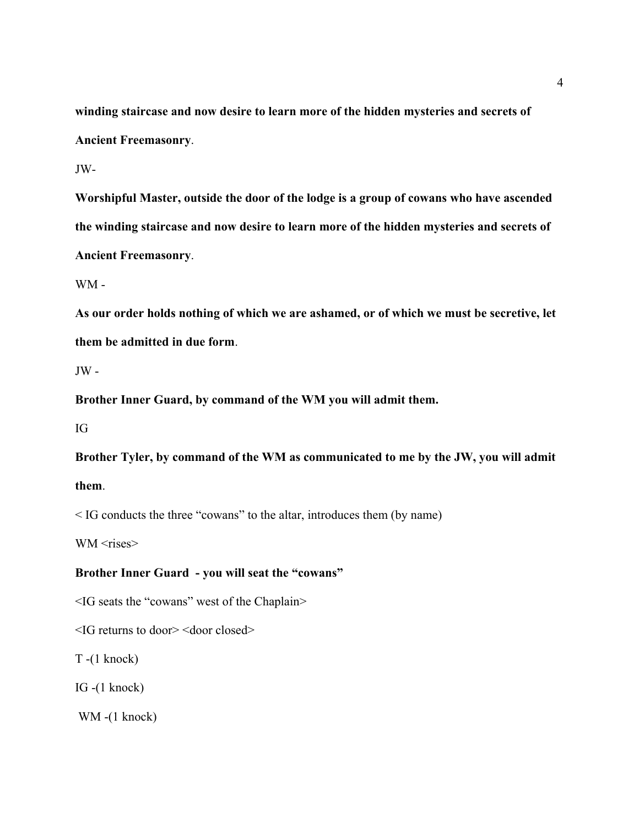**winding staircase and now desire to learn more of the hidden mysteries and secrets of Ancient Freemasonry**.

JW-

**Worshipful Master, outside the door of the lodge is a group of cowans who have ascended the winding staircase and now desire to learn more of the hidden mysteries and secrets of Ancient Freemasonry**.

WM -

**As our order holds nothing of which we are ashamed, or of which we must be secretive, let them be admitted in due form**.

 $JW -$ 

**Brother Inner Guard, by command of the WM you will admit them.**

IG

**Brother Tyler, by command of the WM as communicated to me by the JW, you will admit them**.

< IG conducts the three "cowans" to the altar, introduces them (by name)

WM <rises>

#### **Brother Inner Guard - you will seat the "cowans"**

<IG seats the "cowans" west of the Chaplain>

<IG returns to door> <door closed>

T -(1 knock)

IG -(1 knock)

WM -(1 knock)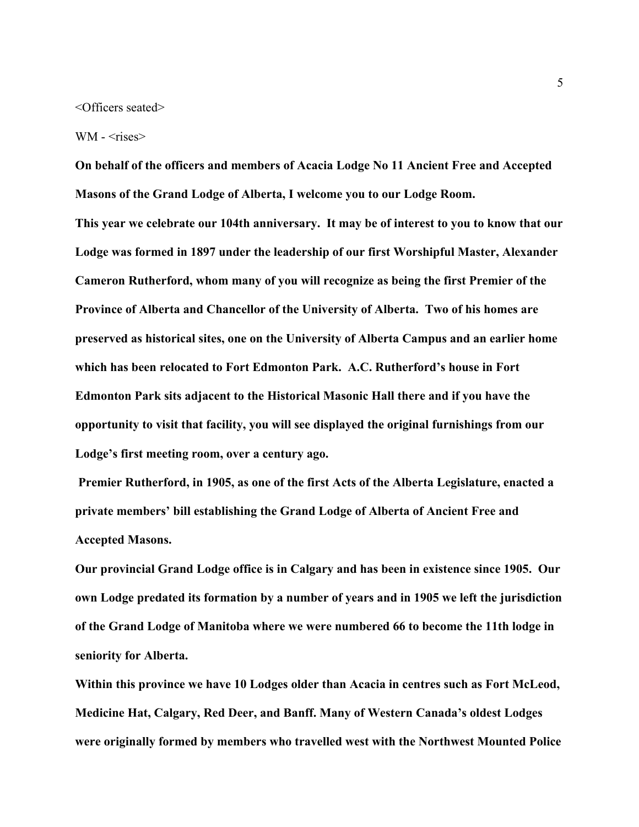<Officers seated>

WM -  $\langle$ rises $>$ 

**On behalf of the officers and members of Acacia Lodge No 11 Ancient Free and Accepted Masons of the Grand Lodge of Alberta, I welcome you to our Lodge Room. This year we celebrate our 104th anniversary. It may be of interest to you to know that our Lodge was formed in 1897 under the leadership of our first Worshipful Master, Alexander Cameron Rutherford, whom many of you will recognize as being the first Premier of the Province of Alberta and Chancellor of the University of Alberta. Two of his homes are preserved as historical sites, one on the University of Alberta Campus and an earlier home which has been relocated to Fort Edmonton Park. A.C. Rutherford's house in Fort Edmonton Park sits adjacent to the Historical Masonic Hall there and if you have the opportunity to visit that facility, you will see displayed the original furnishings from our Lodge's first meeting room, over a century ago.**

 **Premier Rutherford, in 1905, as one of the first Acts of the Alberta Legislature, enacted a private members' bill establishing the Grand Lodge of Alberta of Ancient Free and Accepted Masons.** 

**Our provincial Grand Lodge office is in Calgary and has been in existence since 1905. Our own Lodge predated its formation by a number of years and in 1905 we left the jurisdiction of the Grand Lodge of Manitoba where we were numbered 66 to become the 11th lodge in seniority for Alberta.** 

**Within this province we have 10 Lodges older than Acacia in centres such as Fort McLeod, Medicine Hat, Calgary, Red Deer, and Banff. Many of Western Canada's oldest Lodges were originally formed by members who travelled west with the Northwest Mounted Police**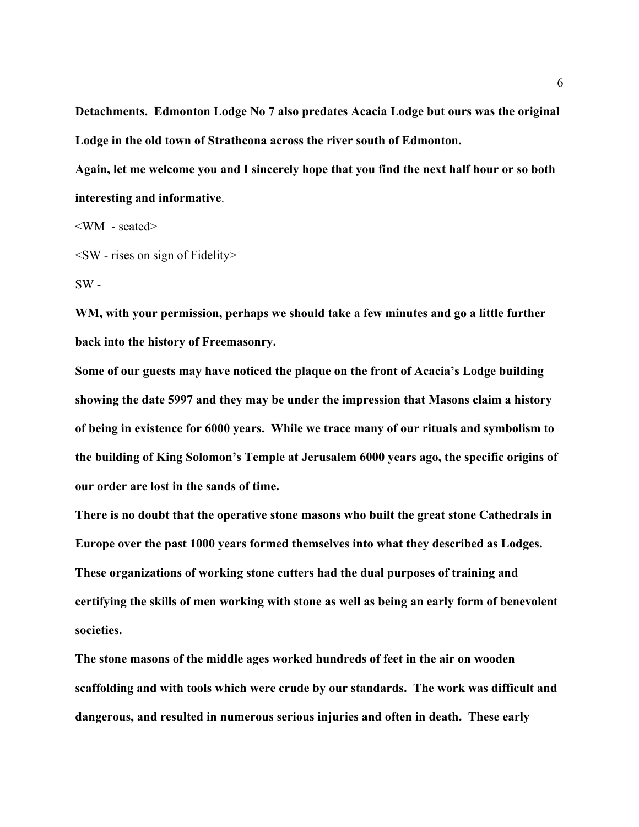**Detachments. Edmonton Lodge No 7 also predates Acacia Lodge but ours was the original Lodge in the old town of Strathcona across the river south of Edmonton.** 

**Again, let me welcome you and I sincerely hope that you find the next half hour or so both interesting and informative**.

<WM - seated>

 $\leq$ SW - rises on sign of Fidelity $>$ 

 $SW -$ 

**WM, with your permission, perhaps we should take a few minutes and go a little further back into the history of Freemasonry.** 

**Some of our guests may have noticed the plaque on the front of Acacia's Lodge building showing the date 5997 and they may be under the impression that Masons claim a history of being in existence for 6000 years. While we trace many of our rituals and symbolism to the building of King Solomon's Temple at Jerusalem 6000 years ago, the specific origins of our order are lost in the sands of time.** 

**There is no doubt that the operative stone masons who built the great stone Cathedrals in Europe over the past 1000 years formed themselves into what they described as Lodges. These organizations of working stone cutters had the dual purposes of training and certifying the skills of men working with stone as well as being an early form of benevolent societies.** 

**The stone masons of the middle ages worked hundreds of feet in the air on wooden scaffolding and with tools which were crude by our standards. The work was difficult and dangerous, and resulted in numerous serious injuries and often in death. These early**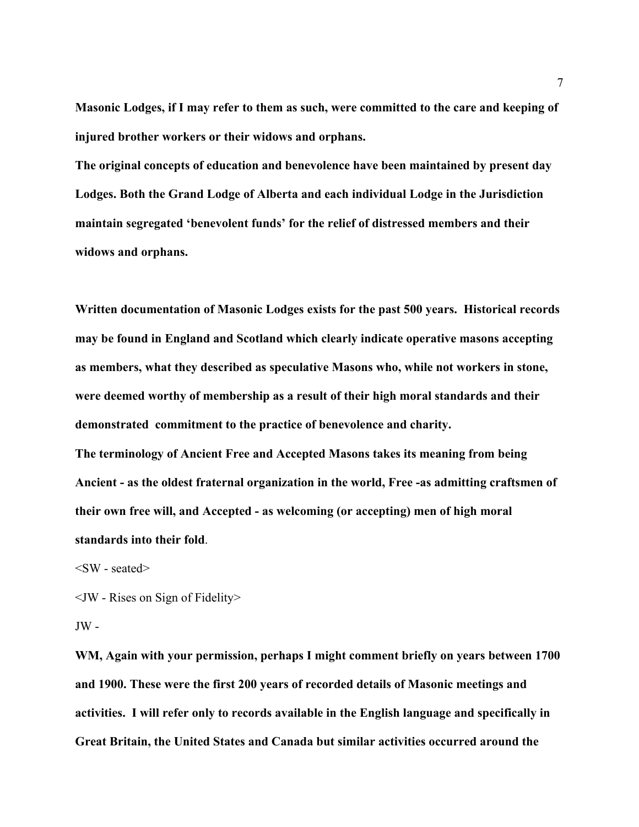**Masonic Lodges, if I may refer to them as such, were committed to the care and keeping of injured brother workers or their widows and orphans.** 

**The original concepts of education and benevolence have been maintained by present day Lodges. Both the Grand Lodge of Alberta and each individual Lodge in the Jurisdiction maintain segregated 'benevolent funds' for the relief of distressed members and their widows and orphans.**

**Written documentation of Masonic Lodges exists for the past 500 years. Historical records may be found in England and Scotland which clearly indicate operative masons accepting as members, what they described as speculative Masons who, while not workers in stone, were deemed worthy of membership as a result of their high moral standards and their demonstrated commitment to the practice of benevolence and charity. The terminology of Ancient Free and Accepted Masons takes its meaning from being Ancient - as the oldest fraternal organization in the world, Free -as admitting craftsmen of**

**their own free will, and Accepted - as welcoming (or accepting) men of high moral**

**standards into their fold**.

 $\langle$ SW - seated $\rangle$ 

<JW - Rises on Sign of Fidelity>

 $JW -$ 

**WM, Again with your permission, perhaps I might comment briefly on years between 1700 and 1900. These were the first 200 years of recorded details of Masonic meetings and activities. I will refer only to records available in the English language and specifically in Great Britain, the United States and Canada but similar activities occurred around the**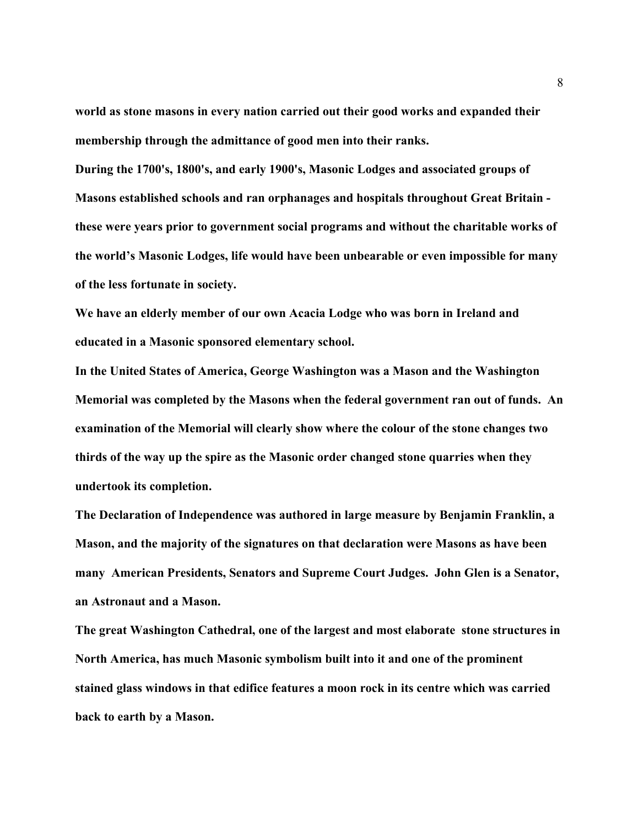**world as stone masons in every nation carried out their good works and expanded their membership through the admittance of good men into their ranks.** 

**During the 1700's, 1800's, and early 1900's, Masonic Lodges and associated groups of Masons established schools and ran orphanages and hospitals throughout Great Britain these were years prior to government social programs and without the charitable works of the world's Masonic Lodges, life would have been unbearable or even impossible for many of the less fortunate in society.** 

**We have an elderly member of our own Acacia Lodge who was born in Ireland and educated in a Masonic sponsored elementary school.** 

**In the United States of America, George Washington was a Mason and the Washington Memorial was completed by the Masons when the federal government ran out of funds. An examination of the Memorial will clearly show where the colour of the stone changes two thirds of the way up the spire as the Masonic order changed stone quarries when they undertook its completion.** 

**The Declaration of Independence was authored in large measure by Benjamin Franklin, a Mason, and the majority of the signatures on that declaration were Masons as have been many American Presidents, Senators and Supreme Court Judges. John Glen is a Senator, an Astronaut and a Mason.** 

**The great Washington Cathedral, one of the largest and most elaborate stone structures in North America, has much Masonic symbolism built into it and one of the prominent stained glass windows in that edifice features a moon rock in its centre which was carried back to earth by a Mason.**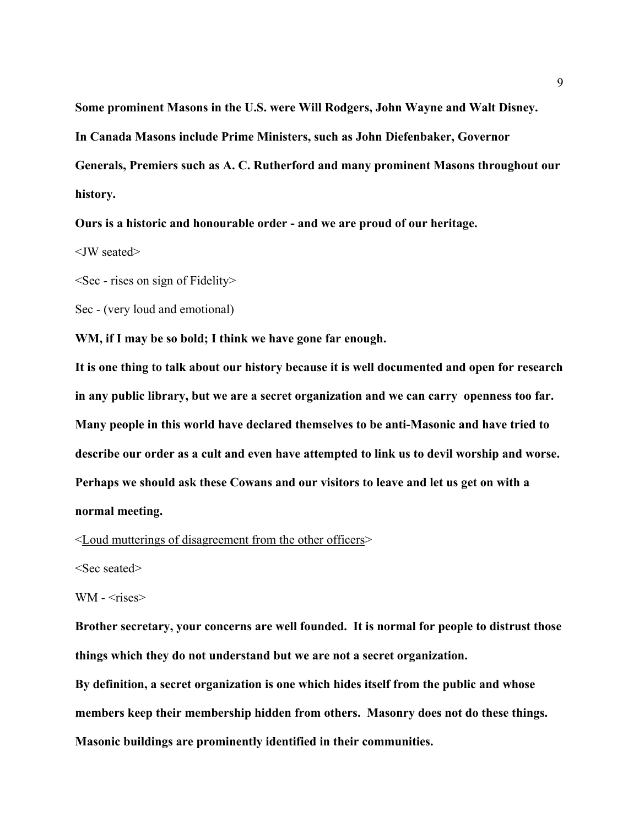**Some prominent Masons in the U.S. were Will Rodgers, John Wayne and Walt Disney. In Canada Masons include Prime Ministers, such as John Diefenbaker, Governor Generals, Premiers such as A. C. Rutherford and many prominent Masons throughout our history.** 

**Ours is a historic and honourable order - and we are proud of our heritage.**

<JW seated>

 $\leq$ Sec - rises on sign of Fidelity $\geq$ 

Sec - (very loud and emotional)

**WM, if I may be so bold; I think we have gone far enough.** 

**It is one thing to talk about our history because it is well documented and open for research in any public library, but we are a secret organization and we can carry openness too far. Many people in this world have declared themselves to be anti-Masonic and have tried to describe our order as a cult and even have attempted to link us to devil worship and worse. Perhaps we should ask these Cowans and our visitors to leave and let us get on with a normal meeting.**

<Loud mutterings of disagreement from the other officers>

<Sec seated>

WM -  $\langle$ rises $>$ 

**Brother secretary, your concerns are well founded. It is normal for people to distrust those things which they do not understand but we are not a secret organization.** 

**By definition, a secret organization is one which hides itself from the public and whose members keep their membership hidden from others. Masonry does not do these things. Masonic buildings are prominently identified in their communities.**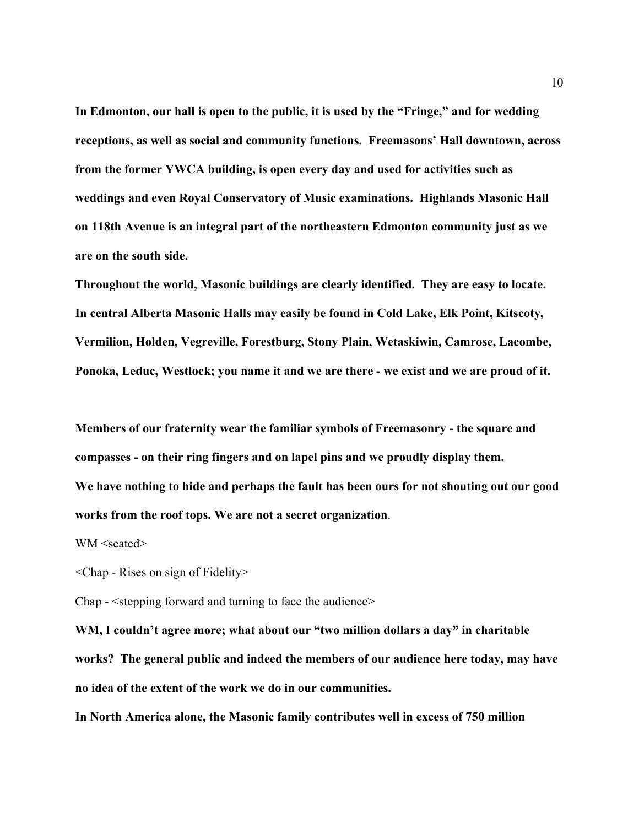**In Edmonton, our hall is open to the public, it is used by the "Fringe," and for wedding receptions, as well as social and community functions. Freemasons' Hall downtown, across from the former YWCA building, is open every day and used for activities such as weddings and even Royal Conservatory of Music examinations. Highlands Masonic Hall on 118th Avenue is an integral part of the northeastern Edmonton community just as we are on the south side.** 

**Throughout the world, Masonic buildings are clearly identified. They are easy to locate. In central Alberta Masonic Halls may easily be found in Cold Lake, Elk Point, Kitscoty, Vermilion, Holden, Vegreville, Forestburg, Stony Plain, Wetaskiwin, Camrose, Lacombe, Ponoka, Leduc, Westlock; you name it and we are there - we exist and we are proud of it.**

**Members of our fraternity wear the familiar symbols of Freemasonry - the square and compasses - on their ring fingers and on lapel pins and we proudly display them. We have nothing to hide and perhaps the fault has been ours for not shouting out our good works from the roof tops. We are not a secret organization**.

WM <seated>

<Chap - Rises on sign of Fidelity>

Chap - <stepping forward and turning to face the audience>

**WM, I couldn't agree more; what about our "two million dollars a day" in charitable works? The general public and indeed the members of our audience here today, may have no idea of the extent of the work we do in our communities.** 

**In North America alone, the Masonic family contributes well in excess of 750 million**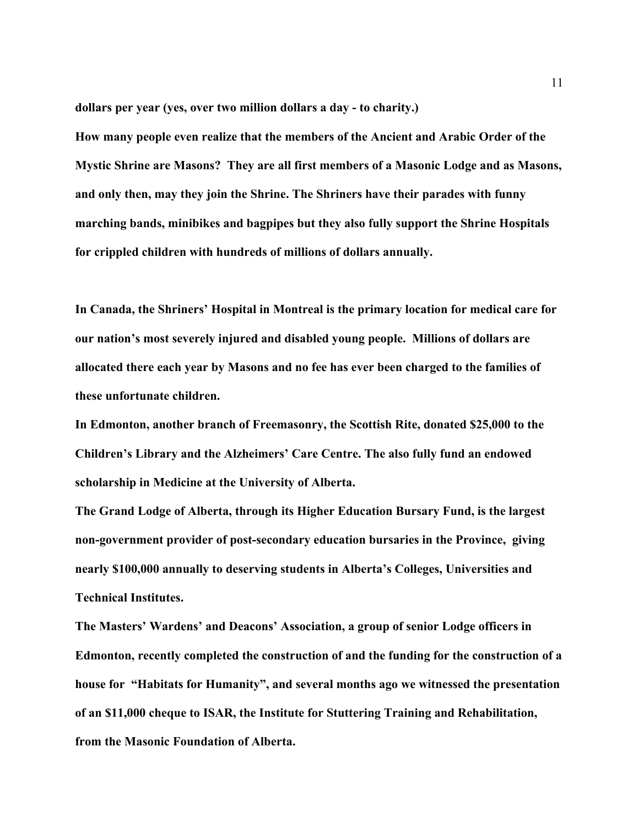**dollars per year (yes, over two million dollars a day - to charity.)**

**How many people even realize that the members of the Ancient and Arabic Order of the Mystic Shrine are Masons? They are all first members of a Masonic Lodge and as Masons, and only then, may they join the Shrine. The Shriners have their parades with funny marching bands, minibikes and bagpipes but they also fully support the Shrine Hospitals for crippled children with hundreds of millions of dollars annually.** 

**In Canada, the Shriners' Hospital in Montreal is the primary location for medical care for our nation's most severely injured and disabled young people. Millions of dollars are allocated there each year by Masons and no fee has ever been charged to the families of these unfortunate children.**

**In Edmonton, another branch of Freemasonry, the Scottish Rite, donated \$25,000 to the Children's Library and the Alzheimers' Care Centre. The also fully fund an endowed scholarship in Medicine at the University of Alberta.**

**The Grand Lodge of Alberta, through its Higher Education Bursary Fund, is the largest non-government provider of post-secondary education bursaries in the Province, giving nearly \$100,000 annually to deserving students in Alberta's Colleges, Universities and Technical Institutes.**

**The Masters' Wardens' and Deacons' Association, a group of senior Lodge officers in Edmonton, recently completed the construction of and the funding for the construction of a house for "Habitats for Humanity", and several months ago we witnessed the presentation of an \$11,000 cheque to ISAR, the Institute for Stuttering Training and Rehabilitation, from the Masonic Foundation of Alberta.**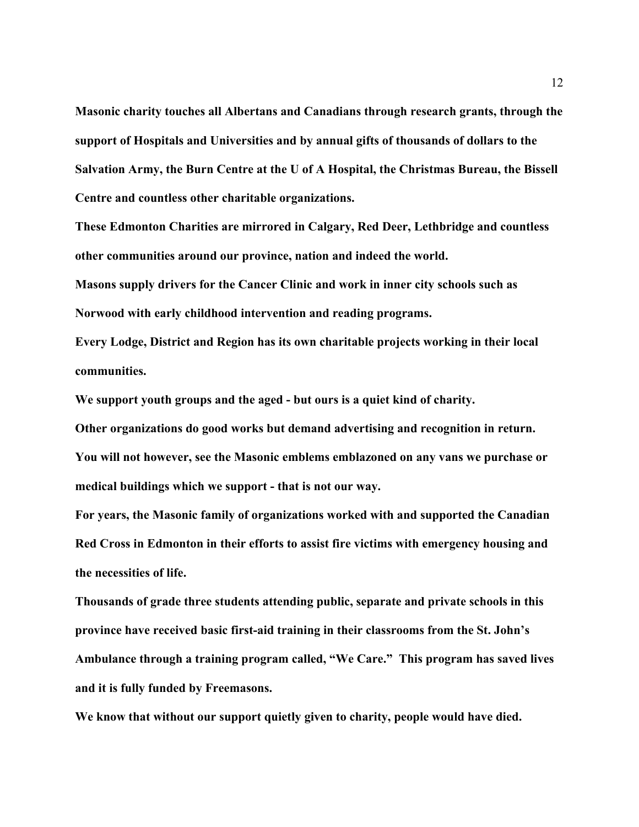**Masonic charity touches all Albertans and Canadians through research grants, through the support of Hospitals and Universities and by annual gifts of thousands of dollars to the Salvation Army, the Burn Centre at the U of A Hospital, the Christmas Bureau, the Bissell Centre and countless other charitable organizations.**

**These Edmonton Charities are mirrored in Calgary, Red Deer, Lethbridge and countless other communities around our province, nation and indeed the world.**

**Masons supply drivers for the Cancer Clinic and work in inner city schools such as Norwood with early childhood intervention and reading programs.**

**Every Lodge, District and Region has its own charitable projects working in their local communities.**

**We support youth groups and the aged - but ours is a quiet kind of charity.** 

**Other organizations do good works but demand advertising and recognition in return. You will not however, see the Masonic emblems emblazoned on any vans we purchase or medical buildings which we support - that is not our way.**

**For years, the Masonic family of organizations worked with and supported the Canadian Red Cross in Edmonton in their efforts to assist fire victims with emergency housing and the necessities of life.** 

**Thousands of grade three students attending public, separate and private schools in this province have received basic first-aid training in their classrooms from the St. John's Ambulance through a training program called, "We Care." This program has saved lives and it is fully funded by Freemasons.**

**We know that without our support quietly given to charity, people would have died.**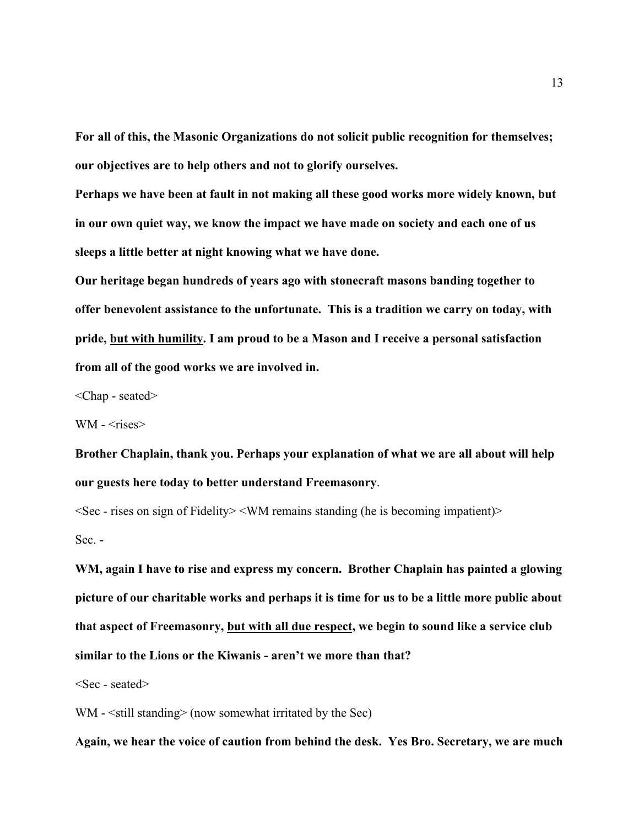**For all of this, the Masonic Organizations do not solicit public recognition for themselves; our objectives are to help others and not to glorify ourselves.**

**Perhaps we have been at fault in not making all these good works more widely known, but in our own quiet way, we know the impact we have made on society and each one of us sleeps a little better at night knowing what we have done.**

**Our heritage began hundreds of years ago with stonecraft masons banding together to offer benevolent assistance to the unfortunate. This is a tradition we carry on today, with pride, but with humility. I am proud to be a Mason and I receive a personal satisfaction from all of the good works we are involved in.**

<Chap - seated>

WM - <rises>

**Brother Chaplain, thank you. Perhaps your explanation of what we are all about will help our guests here today to better understand Freemasonry**.

 $\leq$ Sec - rises on sign of Fidelity $\geq$   $\leq$  WM remains standing (he is becoming impatient) $\geq$ Sec. -

**WM, again I have to rise and express my concern. Brother Chaplain has painted a glowing picture of our charitable works and perhaps it is time for us to be a little more public about that aspect of Freemasonry, but with all due respect, we begin to sound like a service club similar to the Lions or the Kiwanis - aren't we more than that?**

<Sec - seated>

WM -  $\le$ still standing> (now somewhat irritated by the Sec)

**Again, we hear the voice of caution from behind the desk. Yes Bro. Secretary, we are much**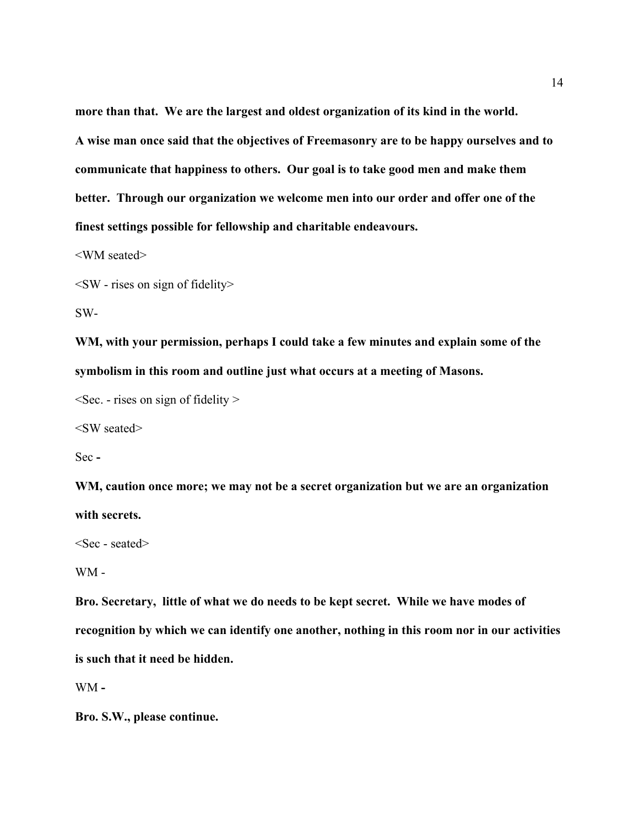**more than that. We are the largest and oldest organization of its kind in the world. A wise man once said that the objectives of Freemasonry are to be happy ourselves and to communicate that happiness to others. Our goal is to take good men and make them better. Through our organization we welcome men into our order and offer one of the finest settings possible for fellowship and charitable endeavours.**

<WM seated>

 $\leq$ SW - rises on sign of fidelity>

SW-

**WM, with your permission, perhaps I could take a few minutes and explain some of the symbolism in this room and outline just what occurs at a meeting of Masons.** 

 $\leq$ Sec. - rises on sign of fidelity  $\geq$ 

<SW seated>

Sec **-**

**WM, caution once more; we may not be a secret organization but we are an organization with secrets.**

<Sec - seated>

WM -

**Bro. Secretary, little of what we do needs to be kept secret. While we have modes of recognition by which we can identify one another, nothing in this room nor in our activities is such that it need be hidden.**

WM **-** 

**Bro. S.W., please continue.**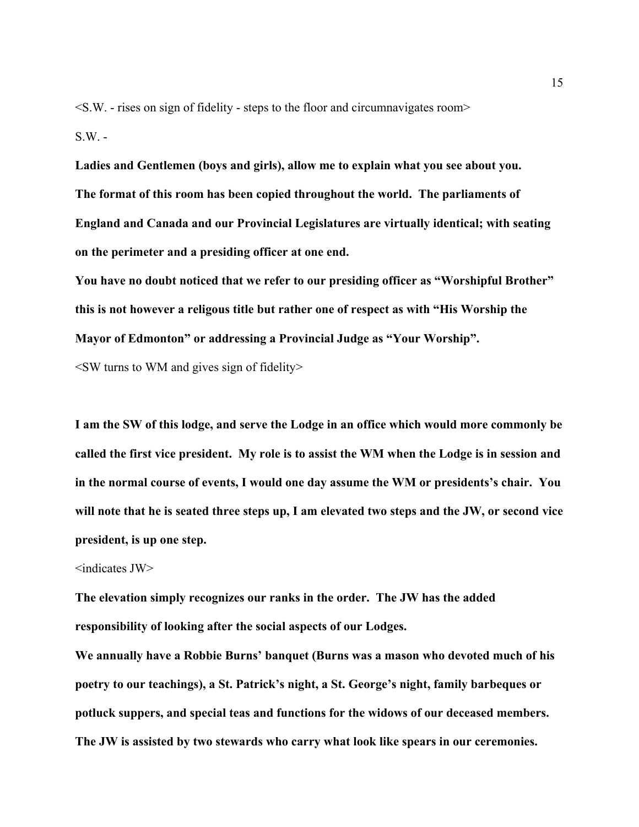$\leq$ S.W. - rises on sign of fidelity - steps to the floor and circumnavigates room $\geq$  $S.W. -$ 

**Ladies and Gentlemen (boys and girls), allow me to explain what you see about you. The format of this room has been copied throughout the world. The parliaments of England and Canada and our Provincial Legislatures are virtually identical; with seating on the perimeter and a presiding officer at one end.**

**You have no doubt noticed that we refer to our presiding officer as "Worshipful Brother" this is not however a religous title but rather one of respect as with "His Worship the Mayor of Edmonton" or addressing a Provincial Judge as "Your Worship".** 

 $\leq$ SW turns to WM and gives sign of fidelity $>$ 

**I am the SW of this lodge, and serve the Lodge in an office which would more commonly be called the first vice president. My role is to assist the WM when the Lodge is in session and in the normal course of events, I would one day assume the WM or presidents's chair. You will note that he is seated three steps up, I am elevated two steps and the JW, or second vice president, is up one step.**

#### <indicates JW>

**The elevation simply recognizes our ranks in the order. The JW has the added responsibility of looking after the social aspects of our Lodges.** 

**We annually have a Robbie Burns' banquet (Burns was a mason who devoted much of his poetry to our teachings), a St. Patrick's night, a St. George's night, family barbeques or potluck suppers, and special teas and functions for the widows of our deceased members. The JW is assisted by two stewards who carry what look like spears in our ceremonies.**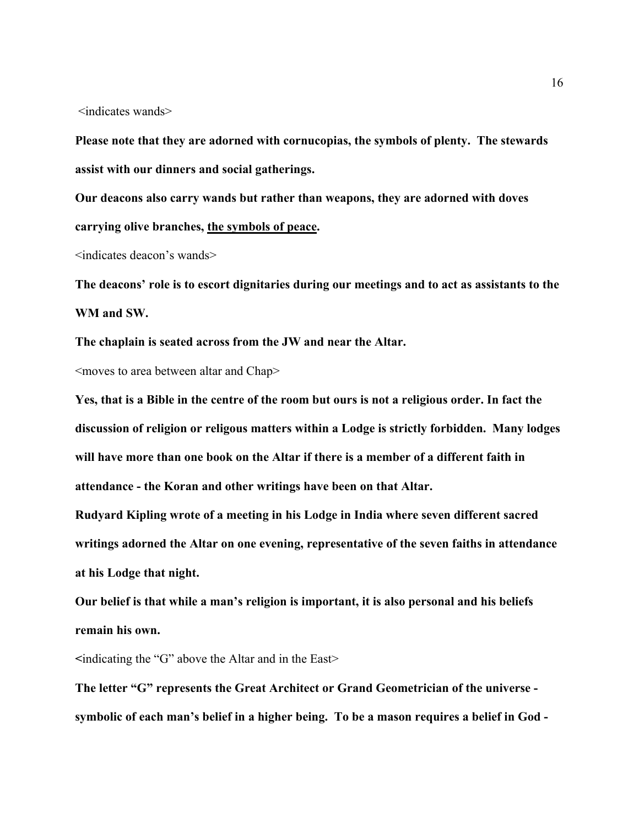<indicates wands>

**Please note that they are adorned with cornucopias, the symbols of plenty. The stewards assist with our dinners and social gatherings.**

**Our deacons also carry wands but rather than weapons, they are adorned with doves carrying olive branches, the symbols of peace.**

<indicates deacon's wands>

**The deacons' role is to escort dignitaries during our meetings and to act as assistants to the WM and SW.**

**The chaplain is seated across from the JW and near the Altar.**

<moves to area between altar and Chap>

**Yes, that is a Bible in the centre of the room but ours is not a religious order. In fact the discussion of religion or religous matters within a Lodge is strictly forbidden. Many lodges will have more than one book on the Altar if there is a member of a different faith in attendance - the Koran and other writings have been on that Altar.**

**Rudyard Kipling wrote of a meeting in his Lodge in India where seven different sacred writings adorned the Altar on one evening, representative of the seven faiths in attendance at his Lodge that night.**

**Our belief is that while a man's religion is important, it is also personal and his beliefs remain his own.** 

**<**indicating the "G" above the Altar and in the East>

**The letter "G" represents the Great Architect or Grand Geometrician of the universe symbolic of each man's belief in a higher being. To be a mason requires a belief in God -**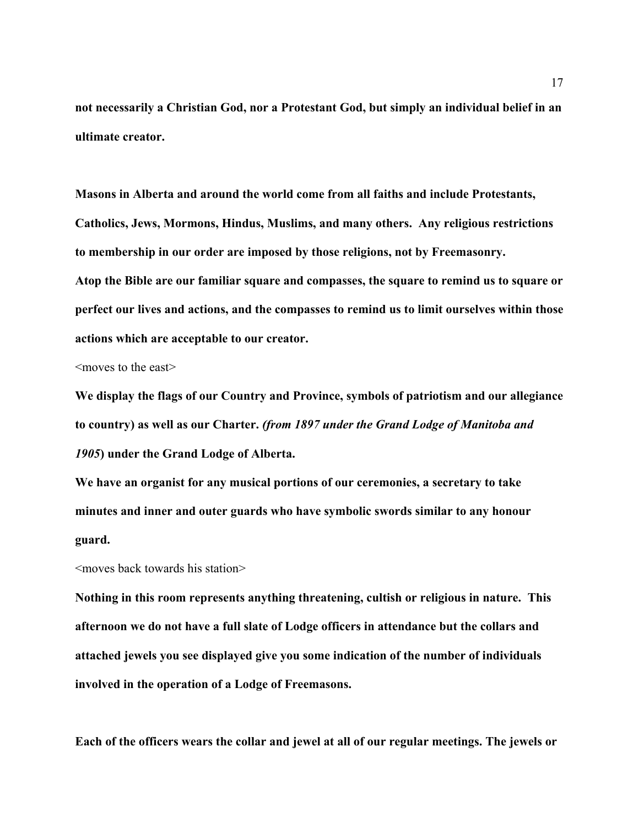**not necessarily a Christian God, nor a Protestant God, but simply an individual belief in an ultimate creator.**

**Masons in Alberta and around the world come from all faiths and include Protestants, Catholics, Jews, Mormons, Hindus, Muslims, and many others. Any religious restrictions to membership in our order are imposed by those religions, not by Freemasonry.** 

**Atop the Bible are our familiar square and compasses, the square to remind us to square or perfect our lives and actions, and the compasses to remind us to limit ourselves within those actions which are acceptable to our creator.** 

<moves to the east>

**We display the flags of our Country and Province, symbols of patriotism and our allegiance to country) as well as our Charter.** *(from 1897 under the Grand Lodge of Manitoba and 1905***) under the Grand Lodge of Alberta.** 

**We have an organist for any musical portions of our ceremonies, a secretary to take minutes and inner and outer guards who have symbolic swords similar to any honour guard.**

<moves back towards his station>

**Nothing in this room represents anything threatening, cultish or religious in nature. This afternoon we do not have a full slate of Lodge officers in attendance but the collars and attached jewels you see displayed give you some indication of the number of individuals involved in the operation of a Lodge of Freemasons.**

**Each of the officers wears the collar and jewel at all of our regular meetings. The jewels or**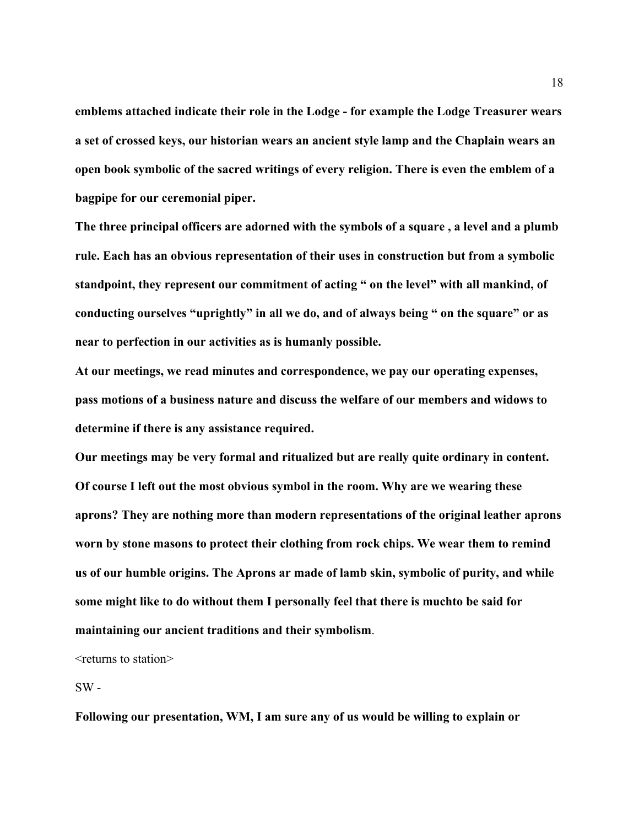**emblems attached indicate their role in the Lodge - for example the Lodge Treasurer wears a set of crossed keys, our historian wears an ancient style lamp and the Chaplain wears an open book symbolic of the sacred writings of every religion. There is even the emblem of a bagpipe for our ceremonial piper.**

**The three principal officers are adorned with the symbols of a square , a level and a plumb rule. Each has an obvious representation of their uses in construction but from a symbolic standpoint, they represent our commitment of acting " on the level" with all mankind, of conducting ourselves "uprightly" in all we do, and of always being " on the square" or as near to perfection in our activities as is humanly possible.**

**At our meetings, we read minutes and correspondence, we pay our operating expenses, pass motions of a business nature and discuss the welfare of our members and widows to determine if there is any assistance required.**

**Our meetings may be very formal and ritualized but are really quite ordinary in content. Of course I left out the most obvious symbol in the room. Why are we wearing these aprons? They are nothing more than modern representations of the original leather aprons worn by stone masons to protect their clothing from rock chips. We wear them to remind us of our humble origins. The Aprons ar made of lamb skin, symbolic of purity, and while some might like to do without them I personally feel that there is muchto be said for maintaining our ancient traditions and their symbolism**.

 $\leq$  returns to station $\geq$ 

 $SW -$ 

**Following our presentation, WM, I am sure any of us would be willing to explain or**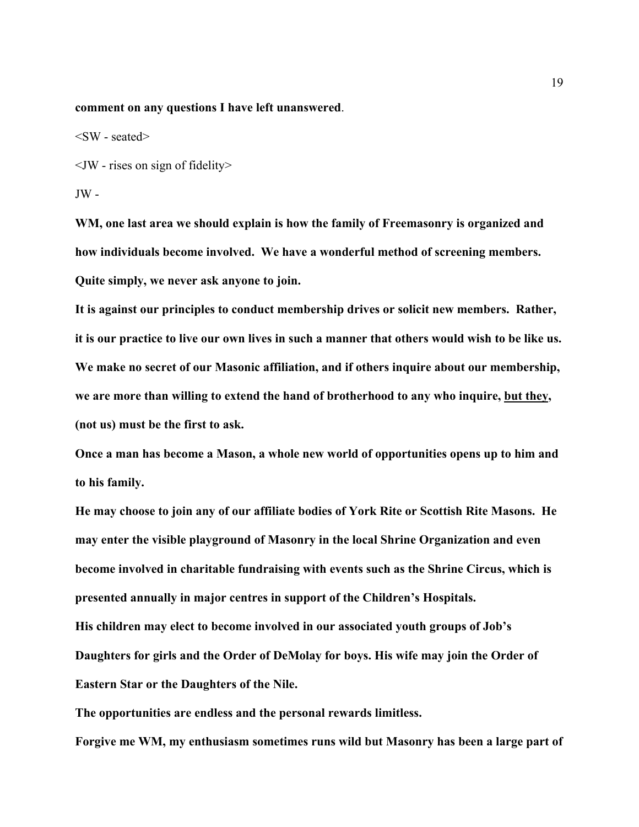#### **comment on any questions I have left unanswered**.

 $\langle$ SW - seated $\rangle$ 

 $\langle$  - T ises on sign of fidelity  $>$ 

 $JW -$ 

**WM, one last area we should explain is how the family of Freemasonry is organized and how individuals become involved. We have a wonderful method of screening members. Quite simply, we never ask anyone to join.** 

**It is against our principles to conduct membership drives or solicit new members. Rather, it is our practice to live our own lives in such a manner that others would wish to be like us. We make no secret of our Masonic affiliation, and if others inquire about our membership, we are more than willing to extend the hand of brotherhood to any who inquire, but they, (not us) must be the first to ask.** 

**Once a man has become a Mason, a whole new world of opportunities opens up to him and to his family.**

**He may choose to join any of our affiliate bodies of York Rite or Scottish Rite Masons. He may enter the visible playground of Masonry in the local Shrine Organization and even become involved in charitable fundraising with events such as the Shrine Circus, which is presented annually in major centres in support of the Children's Hospitals. His children may elect to become involved in our associated youth groups of Job's Daughters for girls and the Order of DeMolay for boys. His wife may join the Order of**

**Eastern Star or the Daughters of the Nile.**

**The opportunities are endless and the personal rewards limitless. Forgive me WM, my enthusiasm sometimes runs wild but Masonry has been a large part of**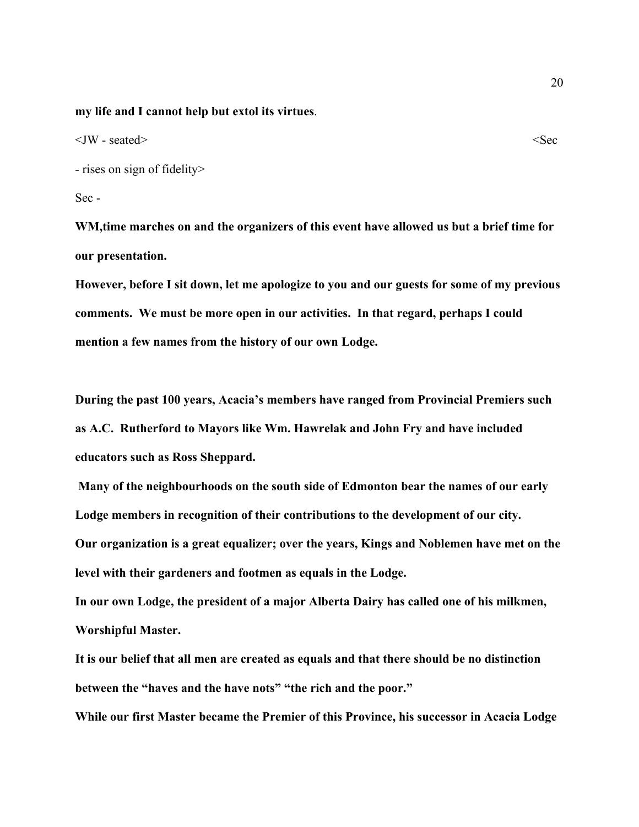**my life and I cannot help but extol its virtues**.

 $\langle$  JW - seated>  $\langle$ 

- rises on sign of fidelity>

Sec -

**WM,time marches on and the organizers of this event have allowed us but a brief time for our presentation.**

**However, before I sit down, let me apologize to you and our guests for some of my previous comments. We must be more open in our activities. In that regard, perhaps I could mention a few names from the history of our own Lodge.**

**During the past 100 years, Acacia's members have ranged from Provincial Premiers such as A.C. Rutherford to Mayors like Wm. Hawrelak and John Fry and have included educators such as Ross Sheppard.**

 **Many of the neighbourhoods on the south side of Edmonton bear the names of our early Lodge members in recognition of their contributions to the development of our city. Our organization is a great equalizer; over the years, Kings and Noblemen have met on the level with their gardeners and footmen as equals in the Lodge.**

**In our own Lodge, the president of a major Alberta Dairy has called one of his milkmen, Worshipful Master.** 

**It is our belief that all men are created as equals and that there should be no distinction between the "haves and the have nots" "the rich and the poor."**

**While our first Master became the Premier of this Province, his successor in Acacia Lodge**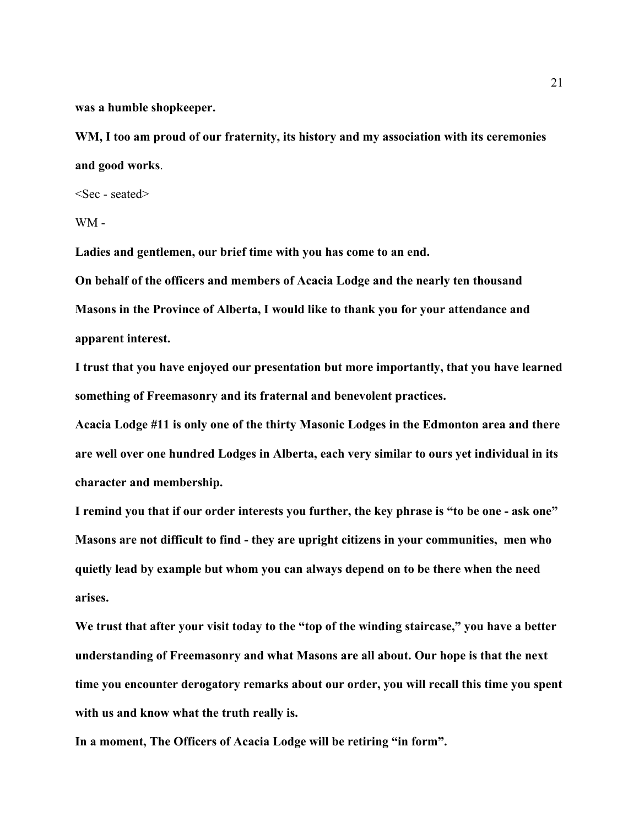**was a humble shopkeeper.** 

**WM, I too am proud of our fraternity, its history and my association with its ceremonies and good works**.

<Sec - seated>

WM -

**Ladies and gentlemen, our brief time with you has come to an end.**

**On behalf of the officers and members of Acacia Lodge and the nearly ten thousand Masons in the Province of Alberta, I would like to thank you for your attendance and apparent interest.**

**I trust that you have enjoyed our presentation but more importantly, that you have learned something of Freemasonry and its fraternal and benevolent practices.**

**Acacia Lodge #11 is only one of the thirty Masonic Lodges in the Edmonton area and there are well over one hundred Lodges in Alberta, each very similar to ours yet individual in its character and membership.**

**I remind you that if our order interests you further, the key phrase is "to be one - ask one" Masons are not difficult to find - they are upright citizens in your communities, men who quietly lead by example but whom you can always depend on to be there when the need arises.** 

**We trust that after your visit today to the "top of the winding staircase," you have a better understanding of Freemasonry and what Masons are all about. Our hope is that the next time you encounter derogatory remarks about our order, you will recall this time you spent with us and know what the truth really is.**

**In a moment, The Officers of Acacia Lodge will be retiring "in form".**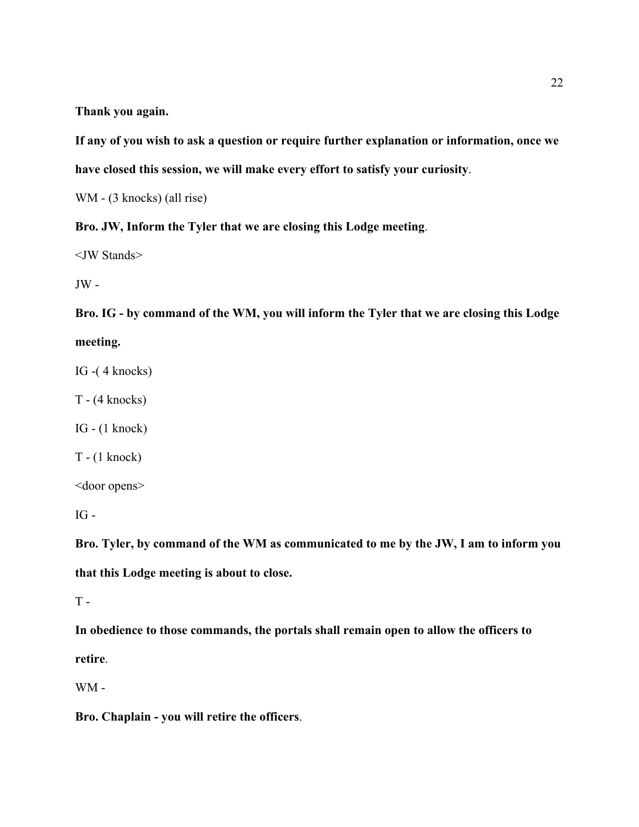**Thank you again.**

**If any of you wish to ask a question or require further explanation or information, once we have closed this session, we will make every effort to satisfy your curiosity**.

WM - (3 knocks) (all rise)

**Bro. JW, Inform the Tyler that we are closing this Lodge meeting**.

<JW Stands>

 $JW -$ 

**Bro. IG - by command of the WM, you will inform the Tyler that we are closing this Lodge meeting.**

IG -( 4 knocks)

T - (4 knocks)

IG - (1 knock)

T - (1 knock)

<door opens>

IG -

**Bro. Tyler, by command of the WM as communicated to me by the JW, I am to inform you that this Lodge meeting is about to close.**

 $T -$ 

**In obedience to those commands, the portals shall remain open to allow the officers to retire**.

WM -

**Bro. Chaplain - you will retire the officers**.